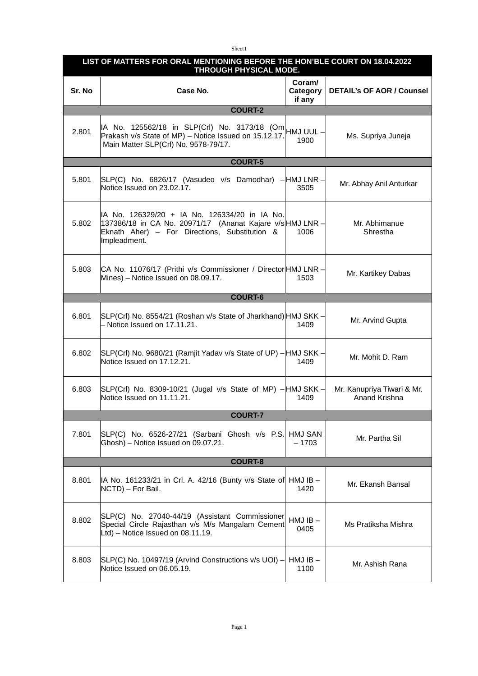Sheet1

| LIST OF MATTERS FOR ORAL MENTIONING BEFORE THE HON'BLE COURT ON 18.04.2022<br>THROUGH PHYSICAL MODE. |                                                                                                                                                                            |                                     |                                             |  |
|------------------------------------------------------------------------------------------------------|----------------------------------------------------------------------------------------------------------------------------------------------------------------------------|-------------------------------------|---------------------------------------------|--|
| Sr. No                                                                                               | Case No.                                                                                                                                                                   | <b>Coram/</b><br>Category<br>if any | <b>DETAIL's OF AOR / Counsel</b>            |  |
|                                                                                                      | <b>COURT-2</b>                                                                                                                                                             |                                     |                                             |  |
| 2.801                                                                                                | IA No. 125562/18 in SLP(CrI) No. 3173/18 (Om HMJ UUL –<br>Prakash v/s State of MP) - Notice Issued on 15.12.17.<br>Main Matter SLP(Crl) No. 9578-79/17.                    | 1900                                | Ms. Supriya Juneja                          |  |
| <b>COURT-5</b>                                                                                       |                                                                                                                                                                            |                                     |                                             |  |
| 5.801                                                                                                | SLP(C) No. 6826/17 (Vasudeo v/s Damodhar) – HMJ LNR –<br>Notice Issued on 23.02.17.                                                                                        | 3505                                | Mr. Abhay Anil Anturkar                     |  |
| 5.802                                                                                                | IA No. 126329/20 + IA No. 126334/20 in IA No.<br>137386/18 in CA No. 20971/17 (Ananat Kajare v/sHMJ LNR -<br>Eknath Aher) - For Directions, Substitution &<br>Impleadment. | 1006                                | Mr. Abhimanue<br>Shrestha                   |  |
| 5.803                                                                                                | CA No. 11076/17 (Prithi v/s Commissioner / Director HMJ LNR -<br>Mines) - Notice Issued on 08.09.17.                                                                       | 1503                                | Mr. Kartikey Dabas                          |  |
| <b>COURT-6</b>                                                                                       |                                                                                                                                                                            |                                     |                                             |  |
| 6.801                                                                                                | SLP(Crl) No. 8554/21 (Roshan v/s State of Jharkhand) HMJ SKK -<br>- Notice Issued on 17.11.21.                                                                             | 1409                                | Mr. Arvind Gupta                            |  |
| 6.802                                                                                                | SLP(Crl) No. 9680/21 (Ramjit Yadav v/s State of UP) – HMJ SKK –<br>Notice Issued on 17.12.21.                                                                              | 1409                                | Mr. Mohit D. Ram                            |  |
| 6.803                                                                                                | $SLP(CrI)$ No. 8309-10/21 (Jugal v/s State of MP) $-$ HMJ SKK $-$<br>Notice Issued on 11.11.21.                                                                            | 1409                                | Mr. Kanupriya Tiwari & Mr.<br>Anand Krishna |  |
|                                                                                                      | <b>COURT-7</b>                                                                                                                                                             |                                     |                                             |  |
| 7.801                                                                                                | SLP(C) No. 6526-27/21 (Sarbani Ghosh v/s P.S.<br>Ghosh) - Notice Issued on 09.07.21.                                                                                       | HMJ SAN<br>– 1703                   | Mr. Partha Sil                              |  |
| <b>COURT-8</b>                                                                                       |                                                                                                                                                                            |                                     |                                             |  |
| 8.801                                                                                                | $ $ IA No. 161233/21 in Crl. A. 42/16 (Bunty v/s State of HMJ IB $-$<br>NCTD) - For Bail.                                                                                  | 1420                                | Mr. Ekansh Bansal                           |  |
| 8.802                                                                                                | SLP(C) No. 27040-44/19 (Assistant Commissioner<br>Special Circle Rajasthan v/s M/s Mangalam Cement<br>Ltd) - Notice Issued on 08.11.19.                                    | $HMJIB -$<br>0405                   | Ms Pratiksha Mishra                         |  |
| 8.803                                                                                                | SLP(C) No. 10497/19 (Arvind Constructions v/s UOI) -<br>Notice Issued on 06.05.19.                                                                                         | $HMJIB -$<br>1100                   | Mr. Ashish Rana                             |  |